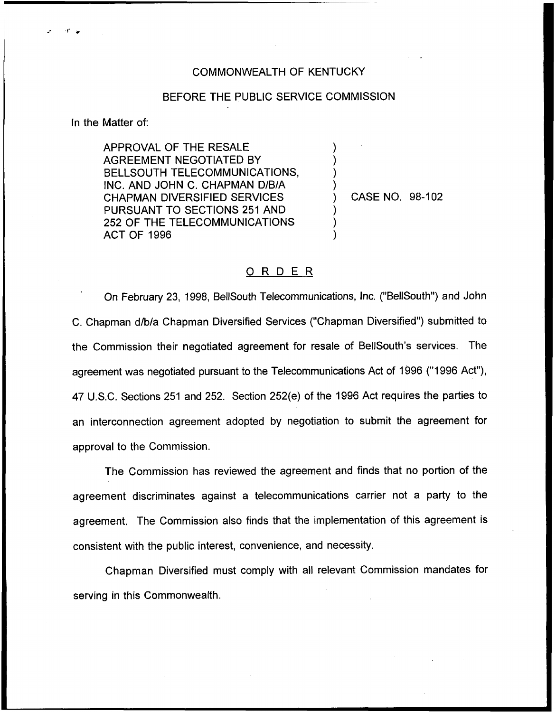## COMMONWEALTH OF KENTUCKY

## BEFORE THE PUBLIC SERVICE COMMISSION

) ) ) )

) ) )

In the Matter of:

APPROVAL OF THE RESALE AGREEMENT NEGOTIATED BY BELLSOUTH TELECOMMUNICATIONS, INC. AND JOHN C. CHAPMAN D/B/A CHAPMAN DIVERSIFIED SERVICES PURSUANT TO SECTIONS 251 AND 252 OF THE TELECOMMUNICATIONS ACT OF 1996

) CASE NO. 98-102

## ORDER

On February 23, 1998, BellSouth Telecommunications, Inc. ("BellSouth") and John C. Chapman d/b/a Chapman Diversified Services ("Chapman Diversified") submitted to the Commission their negotiated agreement for resale of BellSouth's services. The agreement was negotiated pursuant to the Telecommunications Act of 1996 ("1996 Act"), 47 U.S.C. Sections 251 and 252. Section 252(e) of the 1996 Act requires the parties to an interconnection agreement adopted by negotiation to submit the agreement for approval to the Commission.

The Commission has reviewed the agreement and finds that no portion of the agreement discriminates against a telecommunications carrier not a party to the agreement. The Commission also finds that the implementation of this agreement is consistent with the public interest, convenience, and necessity.

Chapman Diversified must comply with all relevant Commission mandates for serving in this Commonwealth.